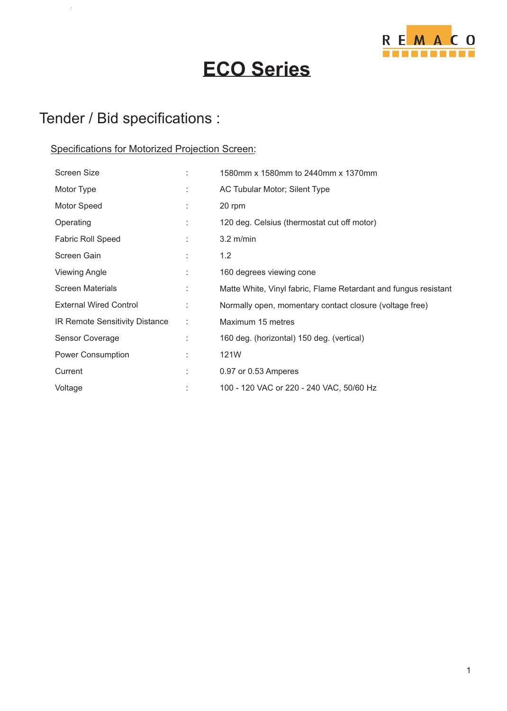

# **ECO Series**

### Tender / Bid specifications :

 $\ddot{\phantom{a}}$ 

#### Specifications for Motorized Projection Screen:

| <b>Screen Size</b>             |    | 1580mm x 1580mm to 2440mm x 1370mm                              |
|--------------------------------|----|-----------------------------------------------------------------|
| Motor Type                     |    | AC Tubular Motor; Silent Type                                   |
| Motor Speed                    | ÷  | 20 rpm                                                          |
| Operating                      | t  | 120 deg. Celsius (thermostat cut off motor)                     |
| <b>Fabric Roll Speed</b>       |    | $3.2 \text{ m/min}$                                             |
| Screen Gain                    |    | 1.2                                                             |
| <b>Viewing Angle</b>           | ÷  | 160 degrees viewing cone                                        |
| <b>Screen Materials</b>        | t. | Matte White, Vinyl fabric, Flame Retardant and fungus resistant |
| <b>External Wired Control</b>  | ÷  | Normally open, momentary contact closure (voltage free)         |
| IR Remote Sensitivity Distance | ÷  | Maximum 15 metres                                               |
| Sensor Coverage                |    | 160 deg. (horizontal) 150 deg. (vertical)                       |
| Power Consumption              | ÷  | 121W                                                            |
| Current                        | t  | 0.97 or 0.53 Amperes                                            |
| Voltage                        |    | 100 - 120 VAC or 220 - 240 VAC, 50/60 Hz                        |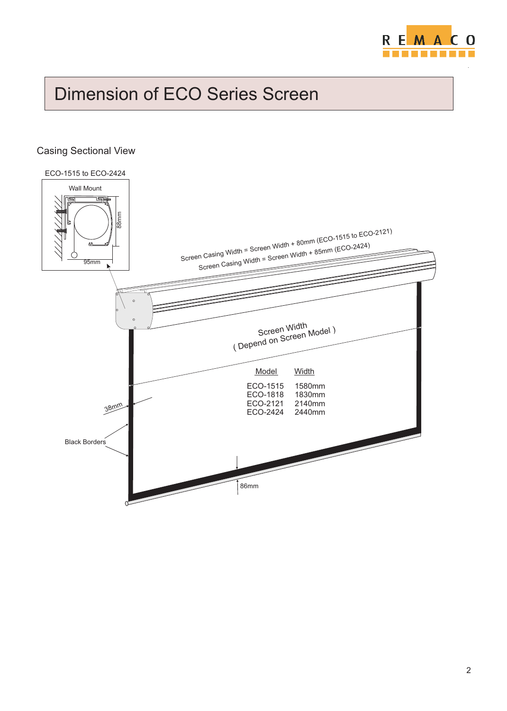

# Dimension of ECO Series Screen

#### Casing Sectional View

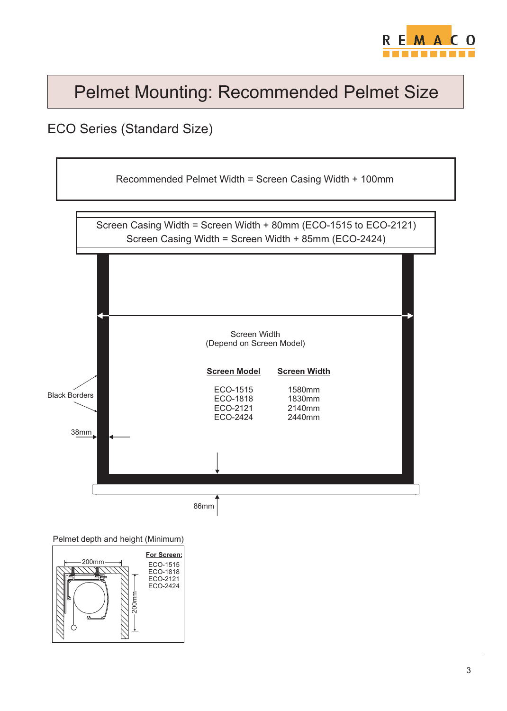

# Pelmet Mounting: Recommended Pelmet Size

#### ECO Series (Standard Size)



Pelmet depth and height (Minimum)

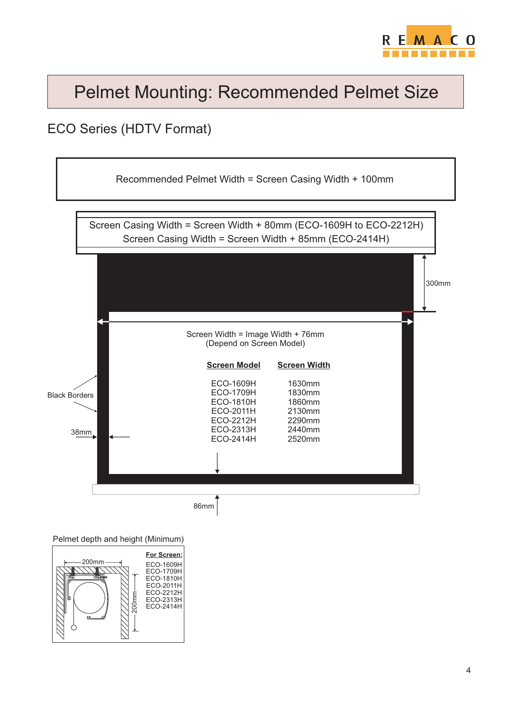

## Pelmet Mounting: Recommended Pelmet Size

### ECO Series (HDTV Format)



Pelmet depth and height (Minimum)